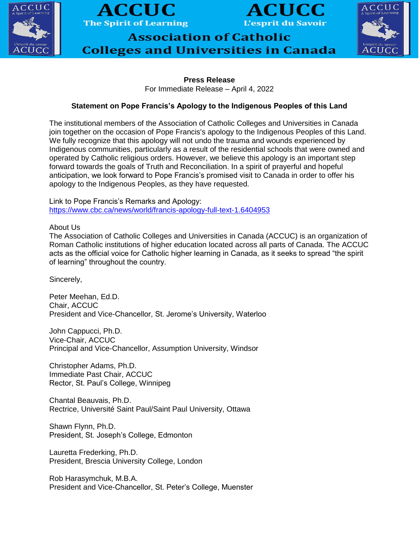





**Association of Catholic Colleges and Universities in Canada** 



## **Press Release**

For Immediate Release – April 4, 2022

## **Statement on Pope Francis's Apology to the Indigenous Peoples of this Land**

The institutional members of the Association of Catholic Colleges and Universities in Canada join together on the occasion of Pope Francis's apology to the Indigenous Peoples of this Land. We fully recognize that this apology will not undo the trauma and wounds experienced by Indigenous communities, particularly as a result of the residential schools that were owned and operated by Catholic religious orders. However, we believe this apology is an important step forward towards the goals of Truth and Reconciliation. In a spirit of prayerful and hopeful anticipation, we look forward to Pope Francis's promised visit to Canada in order to offer his apology to the Indigenous Peoples, as they have requested.

Link to Pope Francis's Remarks and Apology: <https://www.cbc.ca/news/world/francis-apology-full-text-1.6404953>

About Us

The Association of Catholic Colleges and Universities in Canada (ACCUC) is an organization of Roman Catholic institutions of higher education located across all parts of Canada. The ACCUC acts as the official voice for Catholic higher learning in Canada, as it seeks to spread "the spirit of learning" throughout the country.

Sincerely,

Peter Meehan, Ed.D. Chair, ACCUC President and Vice-Chancellor, St. Jerome's University, Waterloo

John Cappucci, Ph.D. Vice-Chair, ACCUC Principal and Vice-Chancellor, Assumption University, Windsor

Christopher Adams, Ph.D. Immediate Past Chair, ACCUC Rector, St. Paul's College, Winnipeg

Chantal Beauvais, Ph.D. Rectrice, Université Saint Paul/Saint Paul University, Ottawa

Shawn Flynn, Ph.D. President, St. Joseph's College, Edmonton

Lauretta Frederking, Ph.D. President, Brescia University College, London

Rob Harasymchuk, M.B.A. President and Vice-Chancellor, St. Peter's College, Muenster